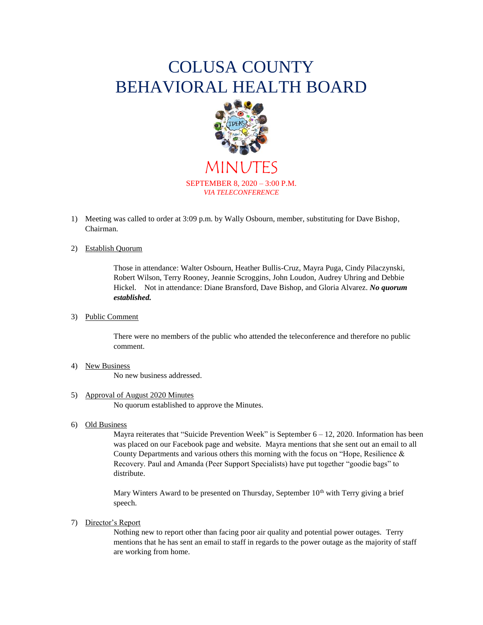# COLUSA COUNTY BEHAVIORAL HEALTH BOARD



MINUTES SEPTEMBER 8, 2020 – 3:00 P.M. *VIA TELECONFERENCE*

1) Meeting was called to order at 3:09 p.m. by Wally Osbourn, member, substituting for Dave Bishop, Chairman.

## 2) Establish Quorum

Those in attendance: Walter Osbourn, Heather Bullis-Cruz, Mayra Puga, Cindy Pilaczynski, Robert Wilson, Terry Rooney, Jeannie Scroggins, John Loudon, Audrey Uhring and Debbie Hickel. Not in attendance: Diane Bransford, Dave Bishop, and Gloria Alvarez. *No quorum established.*

3) Public Comment

There were no members of the public who attended the teleconference and therefore no public comment.

- 4) New Business No new business addressed.
- 5) Approval of August 2020 Minutes No quorum established to approve the Minutes.
- 6) Old Business

Mayra reiterates that "Suicide Prevention Week" is September  $6 - 12$ , 2020. Information has been was placed on our Facebook page and website. Mayra mentions that she sent out an email to all County Departments and various others this morning with the focus on "Hope, Resilience  $\&$ Recovery. Paul and Amanda (Peer Support Specialists) have put together "goodie bags" to distribute.

Mary Winters Award to be presented on Thursday, September  $10<sup>th</sup>$  with Terry giving a brief speech.

7) Director's Report

Nothing new to report other than facing poor air quality and potential power outages. Terry mentions that he has sent an email to staff in regards to the power outage as the majority of staff are working from home.